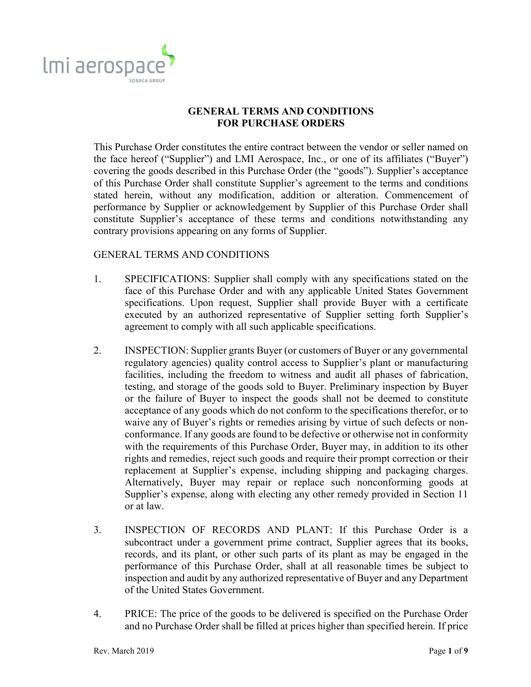

## **GENERAL TERMS AND CONDITIONS FOR PURCHASE ORDERS**

This Purchase Order constitutes the entire contract between the vendor or seller named on the face hereof ("Supplier") and LMI Aerospace, Inc., or one of its affiliates ("Buyer") covering the goods described in this Purchase Order (the "goods"). Supplier's acceptance of this Purchase Order shall constitute Supplier's agreement to the terms and conditions stated herein, without any modification, addition or alteration. Commencement of performance by Supplier or acknowledgement by Supplier of this Purchase Order shall constitute Supplier's acceptance of these terms and conditions notwithstanding any contrary provisions appearing on any forms of Supplier.

## GENERAL TERMS AND CONDITIONS

- 1. SPECIFICATIONS: Supplier shall comply with any specifications stated on the face of this Purchase Order and with any applicable United States Government specifications. Upon request, Supplier shall provide Buyer with a certificate executed by an authorized representative of Supplier setting forth Supplier's agreement to comply with all such applicable specifications.
- 2. INSPECTION: Supplier grants Buyer (or customers of Buyer or any governmental regulatory agencies) quality control access to Supplier's plant or manufacturing facilities, including the freedom to witness and audit all phases of fabrication, testing, and storage of the goods sold to Buyer. Preliminary inspection by Buyer or the failure of Buyer to inspect the goods shall not be deemed to constitute acceptance of any goods which do not conform to the specifications therefor, or to waive any of Buyer's rights or remedies arising by virtue of such defects or nonconformance. If any goods are found to be defective or otherwise not in conformity with the requirements of this Purchase Order, Buyer may, in addition to its other rights and remedies, reject such goods and require their prompt correction or their replacement at Supplier's expense, including shipping and packaging charges. Alternatively, Buyer may repair or replace such nonconforming goods at Supplier's expense, along with electing any other remedy provided in Section 11 or at law.
- 3. INSPECTION OF RECORDS AND PLANT: If this Purchase Order is a subcontract under a government prime contract, Supplier agrees that its books, records, and its plant, or other such parts of its plant as may be engaged in the performance of this Purchase Order, shall at all reasonable times be subject to inspection and audit by any authorized representative of Buyer and any Department of the United States Government.
- 4. PRICE: The price of the goods to be delivered is specified on the Purchase Order and no Purchase Order shall be filled at prices higher than specified herein. If price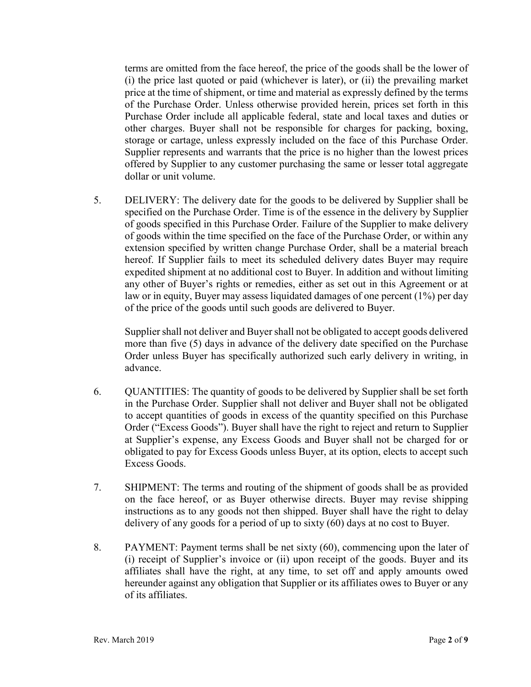terms are omitted from the face hereof, the price of the goods shall be the lower of (i) the price last quoted or paid (whichever is later), or (ii) the prevailing market price at the time of shipment, or time and material as expressly defined by the terms of the Purchase Order. Unless otherwise provided herein, prices set forth in this Purchase Order include all applicable federal, state and local taxes and duties or other charges. Buyer shall not be responsible for charges for packing, boxing, storage or cartage, unless expressly included on the face of this Purchase Order. Supplier represents and warrants that the price is no higher than the lowest prices offered by Supplier to any customer purchasing the same or lesser total aggregate dollar or unit volume.

5. DELIVERY: The delivery date for the goods to be delivered by Supplier shall be specified on the Purchase Order. Time is of the essence in the delivery by Supplier of goods specified in this Purchase Order. Failure of the Supplier to make delivery of goods within the time specified on the face of the Purchase Order, or within any extension specified by written change Purchase Order, shall be a material breach hereof. If Supplier fails to meet its scheduled delivery dates Buyer may require expedited shipment at no additional cost to Buyer. In addition and without limiting any other of Buyer's rights or remedies, either as set out in this Agreement or at law or in equity, Buyer may assess liquidated damages of one percent (1%) per day of the price of the goods until such goods are delivered to Buyer.

Supplier shall not deliver and Buyer shall not be obligated to accept goods delivered more than five (5) days in advance of the delivery date specified on the Purchase Order unless Buyer has specifically authorized such early delivery in writing, in advance.

- 6. QUANTITIES: The quantity of goods to be delivered by Supplier shall be set forth in the Purchase Order. Supplier shall not deliver and Buyer shall not be obligated to accept quantities of goods in excess of the quantity specified on this Purchase Order ("Excess Goods"). Buyer shall have the right to reject and return to Supplier at Supplier's expense, any Excess Goods and Buyer shall not be charged for or obligated to pay for Excess Goods unless Buyer, at its option, elects to accept such Excess Goods.
- 7. SHIPMENT: The terms and routing of the shipment of goods shall be as provided on the face hereof, or as Buyer otherwise directs. Buyer may revise shipping instructions as to any goods not then shipped. Buyer shall have the right to delay delivery of any goods for a period of up to sixty (60) days at no cost to Buyer.
- 8. PAYMENT: Payment terms shall be net sixty (60), commencing upon the later of (i) receipt of Supplier's invoice or (ii) upon receipt of the goods. Buyer and its affiliates shall have the right, at any time, to set off and apply amounts owed hereunder against any obligation that Supplier or its affiliates owes to Buyer or any of its affiliates.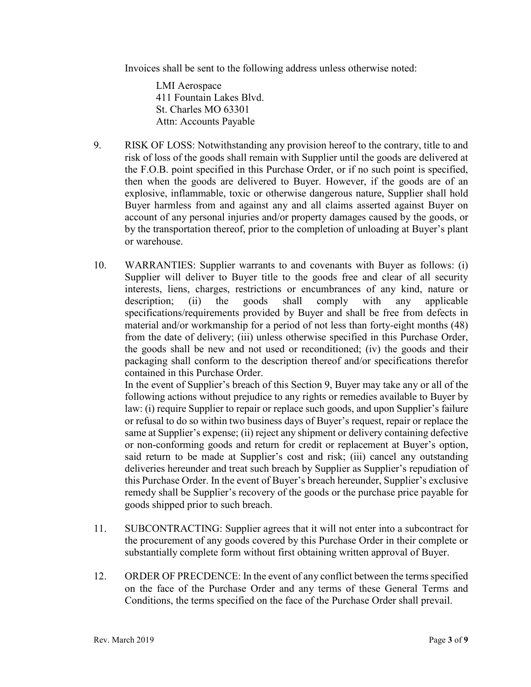Invoices shall be sent to the following address unless otherwise noted:

LMI Aerospace 411 Fountain Lakes Blvd. St. Charles MO 63301 Attn: Accounts Payable

- 9. RISK OF LOSS: Notwithstanding any provision hereof to the contrary, title to and risk of loss of the goods shall remain with Supplier until the goods are delivered at the F.O.B. point specified in this Purchase Order, or if no such point is specified, then when the goods are delivered to Buyer. However, if the goods are of an explosive, inflammable, toxic or otherwise dangerous nature, Supplier shall hold Buyer harmless from and against any and all claims asserted against Buyer on account of any personal injuries and/or property damages caused by the goods, or by the transportation thereof, prior to the completion of unloading at Buyer's plant or warehouse.
- 10. WARRANTIES: Supplier warrants to and covenants with Buyer as follows: (i) Supplier will deliver to Buyer title to the goods free and clear of all security interests, liens, charges, restrictions or encumbrances of any kind, nature or description; (ii) the goods shall comply with any applicable specifications/requirements provided by Buyer and shall be free from defects in material and/or workmanship for a period of not less than forty-eight months (48) from the date of delivery; (iii) unless otherwise specified in this Purchase Order, the goods shall be new and not used or reconditioned; (iv) the goods and their packaging shall conform to the description thereof and/or specifications therefor contained in this Purchase Order.

In the event of Supplier's breach of this Section 9, Buyer may take any or all of the following actions without prejudice to any rights or remedies available to Buyer by law: (i) require Supplier to repair or replace such goods, and upon Supplier's failure or refusal to do so within two business days of Buyer's request, repair or replace the same at Supplier's expense; (ii) reject any shipment or delivery containing defective or non-conforming goods and return for credit or replacement at Buyer's option, said return to be made at Supplier's cost and risk; (iii) cancel any outstanding deliveries hereunder and treat such breach by Supplier as Supplier's repudiation of this Purchase Order. In the event of Buyer's breach hereunder, Supplier's exclusive remedy shall be Supplier's recovery of the goods or the purchase price payable for goods shipped prior to such breach.

- 11. SUBCONTRACTING: Supplier agrees that it will not enter into a subcontract for the procurement of any goods covered by this Purchase Order in their complete or substantially complete form without first obtaining written approval of Buyer.
- 12. ORDER OF PRECDENCE: In the event of any conflict between the terms specified on the face of the Purchase Order and any terms of these General Terms and Conditions, the terms specified on the face of the Purchase Order shall prevail.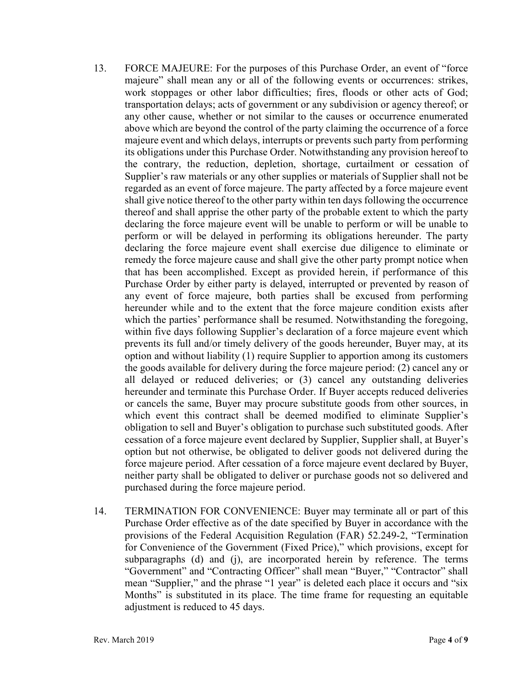- 13. FORCE MAJEURE: For the purposes of this Purchase Order, an event of "force majeure" shall mean any or all of the following events or occurrences: strikes, work stoppages or other labor difficulties; fires, floods or other acts of God; transportation delays; acts of government or any subdivision or agency thereof; or any other cause, whether or not similar to the causes or occurrence enumerated above which are beyond the control of the party claiming the occurrence of a force majeure event and which delays, interrupts or prevents such party from performing its obligations under this Purchase Order. Notwithstanding any provision hereof to the contrary, the reduction, depletion, shortage, curtailment or cessation of Supplier's raw materials or any other supplies or materials of Supplier shall not be regarded as an event of force majeure. The party affected by a force majeure event shall give notice thereof to the other party within ten days following the occurrence thereof and shall apprise the other party of the probable extent to which the party declaring the force majeure event will be unable to perform or will be unable to perform or will be delayed in performing its obligations hereunder. The party declaring the force majeure event shall exercise due diligence to eliminate or remedy the force majeure cause and shall give the other party prompt notice when that has been accomplished. Except as provided herein, if performance of this Purchase Order by either party is delayed, interrupted or prevented by reason of any event of force majeure, both parties shall be excused from performing hereunder while and to the extent that the force majeure condition exists after which the parties' performance shall be resumed. Notwithstanding the foregoing, within five days following Supplier's declaration of a force majeure event which prevents its full and/or timely delivery of the goods hereunder, Buyer may, at its option and without liability (1) require Supplier to apportion among its customers the goods available for delivery during the force majeure period: (2) cancel any or all delayed or reduced deliveries; or (3) cancel any outstanding deliveries hereunder and terminate this Purchase Order. If Buyer accepts reduced deliveries or cancels the same, Buyer may procure substitute goods from other sources, in which event this contract shall be deemed modified to eliminate Supplier's obligation to sell and Buyer's obligation to purchase such substituted goods. After cessation of a force majeure event declared by Supplier, Supplier shall, at Buyer's option but not otherwise, be obligated to deliver goods not delivered during the force majeure period. After cessation of a force majeure event declared by Buyer, neither party shall be obligated to deliver or purchase goods not so delivered and purchased during the force majeure period.
- 14. TERMINATION FOR CONVENIENCE: Buyer may terminate all or part of this Purchase Order effective as of the date specified by Buyer in accordance with the provisions of the Federal Acquisition Regulation (FAR) 52.249-2, "Termination for Convenience of the Government (Fixed Price)," which provisions, except for subparagraphs (d) and (j), are incorporated herein by reference. The terms "Government" and "Contracting Officer" shall mean "Buyer," "Contractor" shall mean "Supplier," and the phrase "1 year" is deleted each place it occurs and "six Months" is substituted in its place. The time frame for requesting an equitable adjustment is reduced to 45 days.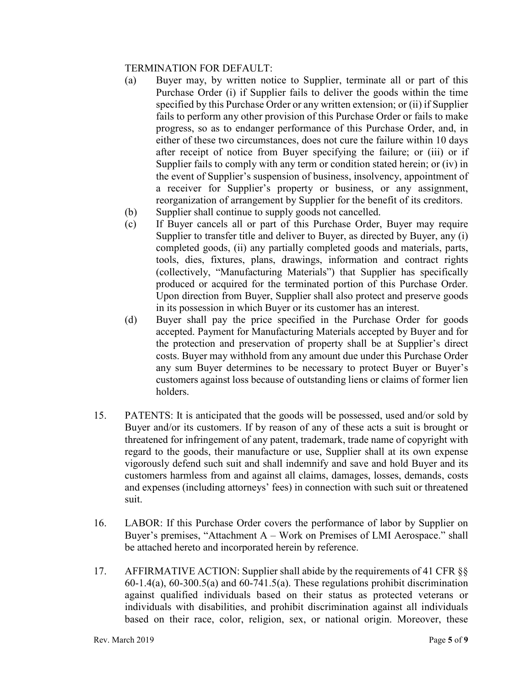## TERMINATION FOR DEFAULT:

- (a) Buyer may, by written notice to Supplier, terminate all or part of this Purchase Order (i) if Supplier fails to deliver the goods within the time specified by this Purchase Order or any written extension; or (ii) if Supplier fails to perform any other provision of this Purchase Order or fails to make progress, so as to endanger performance of this Purchase Order, and, in either of these two circumstances, does not cure the failure within 10 days after receipt of notice from Buyer specifying the failure; or (iii) or if Supplier fails to comply with any term or condition stated herein; or (iv) in the event of Supplier's suspension of business, insolvency, appointment of a receiver for Supplier's property or business, or any assignment, reorganization of arrangement by Supplier for the benefit of its creditors.
- (b) Supplier shall continue to supply goods not cancelled.
- (c) If Buyer cancels all or part of this Purchase Order, Buyer may require Supplier to transfer title and deliver to Buyer, as directed by Buyer, any (i) completed goods, (ii) any partially completed goods and materials, parts, tools, dies, fixtures, plans, drawings, information and contract rights (collectively, "Manufacturing Materials") that Supplier has specifically produced or acquired for the terminated portion of this Purchase Order. Upon direction from Buyer, Supplier shall also protect and preserve goods in its possession in which Buyer or its customer has an interest.
- (d) Buyer shall pay the price specified in the Purchase Order for goods accepted. Payment for Manufacturing Materials accepted by Buyer and for the protection and preservation of property shall be at Supplier's direct costs. Buyer may withhold from any amount due under this Purchase Order any sum Buyer determines to be necessary to protect Buyer or Buyer's customers against loss because of outstanding liens or claims of former lien holders.
- 15. PATENTS: It is anticipated that the goods will be possessed, used and/or sold by Buyer and/or its customers. If by reason of any of these acts a suit is brought or threatened for infringement of any patent, trademark, trade name of copyright with regard to the goods, their manufacture or use, Supplier shall at its own expense vigorously defend such suit and shall indemnify and save and hold Buyer and its customers harmless from and against all claims, damages, losses, demands, costs and expenses (including attorneys' fees) in connection with such suit or threatened suit.
- 16. LABOR: If this Purchase Order covers the performance of labor by Supplier on Buyer's premises, "Attachment A – Work on Premises of LMI Aerospace." shall be attached hereto and incorporated herein by reference.
- 17. AFFIRMATIVE ACTION: Supplier shall abide by the requirements of 41 CFR §§ 60-1.4(a), 60-300.5(a) and 60-741.5(a). These regulations prohibit discrimination against qualified individuals based on their status as protected veterans or individuals with disabilities, and prohibit discrimination against all individuals based on their race, color, religion, sex, or national origin. Moreover, these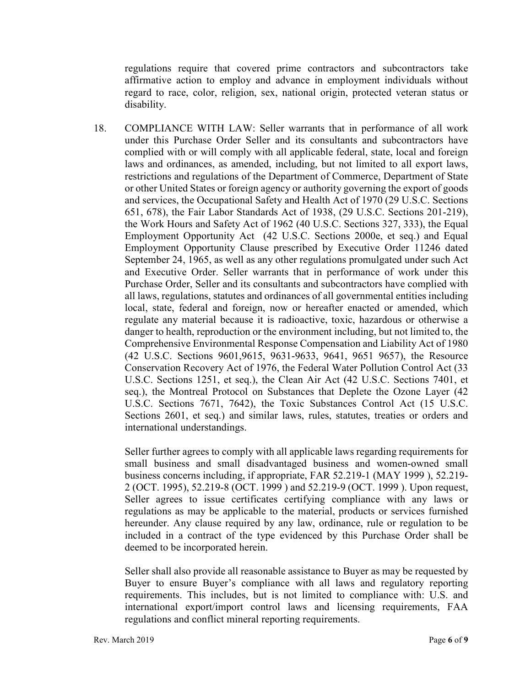regulations require that covered prime contractors and subcontractors take affirmative action to employ and advance in employment individuals without regard to race, color, religion, sex, national origin, protected veteran status or disability.

18. COMPLIANCE WITH LAW: Seller warrants that in performance of all work under this Purchase Order Seller and its consultants and subcontractors have complied with or will comply with all applicable federal, state, local and foreign laws and ordinances, as amended, including, but not limited to all export laws, restrictions and regulations of the Department of Commerce, Department of State or other United States or foreign agency or authority governing the export of goods and services, the Occupational Safety and Health Act of 1970 (29 U.S.C. Sections 651, 678), the Fair Labor Standards Act of 1938, (29 U.S.C. Sections 201-219), the Work Hours and Safety Act of 1962 (40 U.S.C. Sections 327, 333), the Equal Employment Opportunity Act (42 U.S.C. Sections 2000e, et seq.) and Equal Employment Opportunity Clause prescribed by Executive Order 11246 dated September 24, 1965, as well as any other regulations promulgated under such Act and Executive Order. Seller warrants that in performance of work under this Purchase Order, Seller and its consultants and subcontractors have complied with all laws, regulations, statutes and ordinances of all governmental entities including local, state, federal and foreign, now or hereafter enacted or amended, which regulate any material because it is radioactive, toxic, hazardous or otherwise a danger to health, reproduction or the environment including, but not limited to, the Comprehensive Environmental Response Compensation and Liability Act of 1980 (42 U.S.C. Sections 9601,9615, 9631-9633, 9641, 9651 9657), the Resource Conservation Recovery Act of 1976, the Federal Water Pollution Control Act (33 U.S.C. Sections 1251, et seq.), the Clean Air Act (42 U.S.C. Sections 7401, et seq.), the Montreal Protocol on Substances that Deplete the Ozone Layer (42 U.S.C. Sections 7671, 7642), the Toxic Substances Control Act (15 U.S.C. Sections 2601, et seq.) and similar laws, rules, statutes, treaties or orders and international understandings.

Seller further agrees to comply with all applicable laws regarding requirements for small business and small disadvantaged business and women-owned small business concerns including, if appropriate, FAR 52.219-1 (MAY 1999 ), 52.219- 2 (OCT. 1995), 52.219-8 (OCT. 1999 ) and 52.219-9 (OCT. 1999 ). Upon request, Seller agrees to issue certificates certifying compliance with any laws or regulations as may be applicable to the material, products or services furnished hereunder. Any clause required by any law, ordinance, rule or regulation to be included in a contract of the type evidenced by this Purchase Order shall be deemed to be incorporated herein.

Seller shall also provide all reasonable assistance to Buyer as may be requested by Buyer to ensure Buyer's compliance with all laws and regulatory reporting requirements. This includes, but is not limited to compliance with: U.S. and international export/import control laws and licensing requirements, FAA regulations and conflict mineral reporting requirements.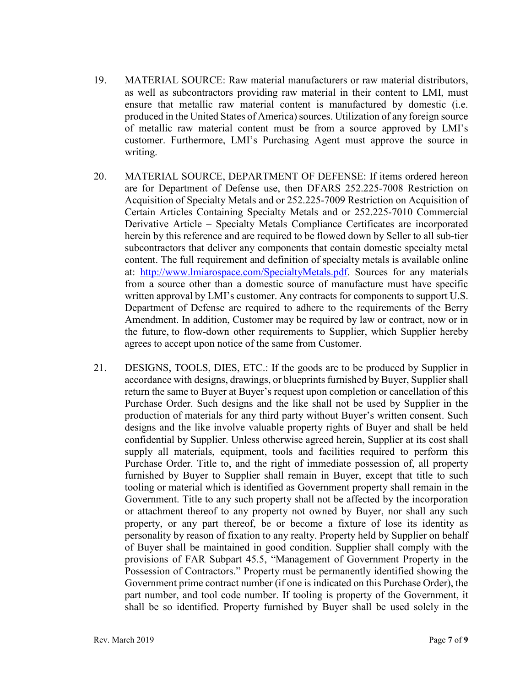- 19. MATERIAL SOURCE: Raw material manufacturers or raw material distributors, as well as subcontractors providing raw material in their content to LMI, must ensure that metallic raw material content is manufactured by domestic (i.e. produced in the United States of America) sources. Utilization of any foreign source of metallic raw material content must be from a source approved by LMI's customer. Furthermore, LMI's Purchasing Agent must approve the source in writing.
- 20. MATERIAL SOURCE, DEPARTMENT OF DEFENSE: If items ordered hereon are for Department of Defense use, then DFARS 252.225-7008 Restriction on Acquisition of Specialty Metals and or 252.225-7009 Restriction on Acquisition of Certain Articles Containing Specialty Metals and or 252.225-7010 Commercial Derivative Article – Specialty Metals Compliance Certificates are incorporated herein by this reference and are required to be flowed down by Seller to all sub-tier subcontractors that deliver any components that contain domestic specialty metal content. The full requirement and definition of specialty metals is available online at: [http://www.lmiarospace.com/SpecialtyMetals.pdf.](http://www.lmiarospace.com/SpecialtyMetals.pdf) Sources for any materials from a source other than a domestic source of manufacture must have specific written approval by LMI's customer. Any contracts for components to support U.S. Department of Defense are required to adhere to the requirements of the Berry Amendment. In addition, Customer may be required by law or contract, now or in the future, to flow-down other requirements to Supplier, which Supplier hereby agrees to accept upon notice of the same from Customer.
- 21. DESIGNS, TOOLS, DIES, ETC.: If the goods are to be produced by Supplier in accordance with designs, drawings, or blueprints furnished by Buyer, Supplier shall return the same to Buyer at Buyer's request upon completion or cancellation of this Purchase Order. Such designs and the like shall not be used by Supplier in the production of materials for any third party without Buyer's written consent. Such designs and the like involve valuable property rights of Buyer and shall be held confidential by Supplier. Unless otherwise agreed herein, Supplier at its cost shall supply all materials, equipment, tools and facilities required to perform this Purchase Order. Title to, and the right of immediate possession of, all property furnished by Buyer to Supplier shall remain in Buyer, except that title to such tooling or material which is identified as Government property shall remain in the Government. Title to any such property shall not be affected by the incorporation or attachment thereof to any property not owned by Buyer, nor shall any such property, or any part thereof, be or become a fixture of lose its identity as personality by reason of fixation to any realty. Property held by Supplier on behalf of Buyer shall be maintained in good condition. Supplier shall comply with the provisions of FAR Subpart 45.5, "Management of Government Property in the Possession of Contractors." Property must be permanently identified showing the Government prime contract number (if one is indicated on this Purchase Order), the part number, and tool code number. If tooling is property of the Government, it shall be so identified. Property furnished by Buyer shall be used solely in the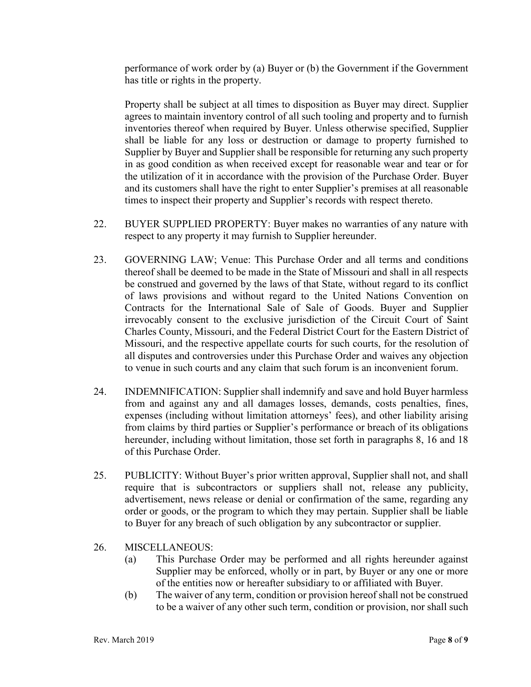performance of work order by (a) Buyer or (b) the Government if the Government has title or rights in the property.

Property shall be subject at all times to disposition as Buyer may direct. Supplier agrees to maintain inventory control of all such tooling and property and to furnish inventories thereof when required by Buyer. Unless otherwise specified, Supplier shall be liable for any loss or destruction or damage to property furnished to Supplier by Buyer and Supplier shall be responsible for returning any such property in as good condition as when received except for reasonable wear and tear or for the utilization of it in accordance with the provision of the Purchase Order. Buyer and its customers shall have the right to enter Supplier's premises at all reasonable times to inspect their property and Supplier's records with respect thereto.

- 22. BUYER SUPPLIED PROPERTY: Buyer makes no warranties of any nature with respect to any property it may furnish to Supplier hereunder.
- 23. GOVERNING LAW; Venue: This Purchase Order and all terms and conditions thereof shall be deemed to be made in the State of Missouri and shall in all respects be construed and governed by the laws of that State, without regard to its conflict of laws provisions and without regard to the United Nations Convention on Contracts for the International Sale of Sale of Goods. Buyer and Supplier irrevocably consent to the exclusive jurisdiction of the Circuit Court of Saint Charles County, Missouri, and the Federal District Court for the Eastern District of Missouri, and the respective appellate courts for such courts, for the resolution of all disputes and controversies under this Purchase Order and waives any objection to venue in such courts and any claim that such forum is an inconvenient forum.
- 24. INDEMNIFICATION: Supplier shall indemnify and save and hold Buyer harmless from and against any and all damages losses, demands, costs penalties, fines, expenses (including without limitation attorneys' fees), and other liability arising from claims by third parties or Supplier's performance or breach of its obligations hereunder, including without limitation, those set forth in paragraphs 8, 16 and 18 of this Purchase Order.
- 25. PUBLICITY: Without Buyer's prior written approval, Supplier shall not, and shall require that is subcontractors or suppliers shall not, release any publicity, advertisement, news release or denial or confirmation of the same, regarding any order or goods, or the program to which they may pertain. Supplier shall be liable to Buyer for any breach of such obligation by any subcontractor or supplier.
- 26. MISCELLANEOUS:
	- (a) This Purchase Order may be performed and all rights hereunder against Supplier may be enforced, wholly or in part, by Buyer or any one or more of the entities now or hereafter subsidiary to or affiliated with Buyer.
	- (b) The waiver of any term, condition or provision hereof shall not be construed to be a waiver of any other such term, condition or provision, nor shall such